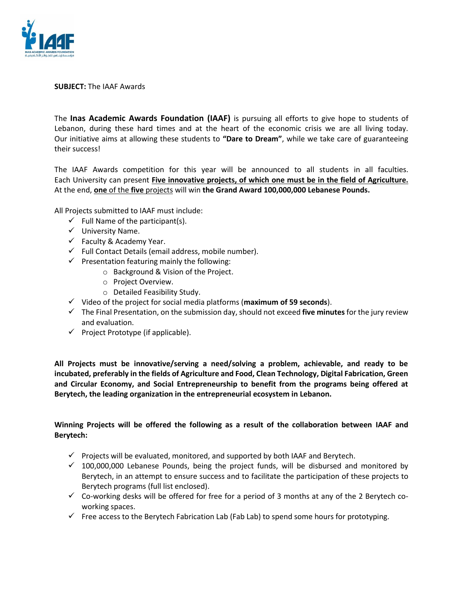

**SUBJECT:** The IAAF Awards

The **Inas Academic Awards Foundation (IAAF)** is pursuing all efforts to give hope to students of Lebanon, during these hard times and at the heart of the economic crisis we are all living today. Our initiative aims at allowing these students to **"Dare to Dream"**, while we take care of guaranteeing their success!

The IAAF Awards competition for this year will be announced to all students in all faculties. Each University can present **Five innovative projects, of which one must be in the field of Agriculture.** At the end, **one** of the **five** projects will win **the Grand Award 100,000,000 Lebanese Pounds.**

All Projects submitted to IAAF must include:

- $\checkmark$  Full Name of the participant(s).
- $\checkmark$  University Name.
- $\checkmark$  Faculty & Academy Year.
- $\checkmark$  Full Contact Details (email address, mobile number).
- $\checkmark$  Presentation featuring mainly the following:
	- o Background & Vision of the Project.
		- o Project Overview.
		- o Detailed Feasibility Study.
- Video of the project for social media platforms (**maximum of 59 seconds**).
- The Final Presentation, on the submission day, should not exceed **five minutes** for the jury review and evaluation.
- $\checkmark$  Project Prototype (if applicable).

**All Projects must be innovative/serving a need/solving a problem, achievable, and ready to be incubated, preferably in the fields of Agriculture and Food, Clean Technology, Digital Fabrication, Green and Circular Economy, and Social Entrepreneurship to benefit from the programs being offered at Berytech, the leading organization in the entrepreneurial ecosystem in Lebanon.** 

## **Winning Projects will be offered the following as a result of the collaboration between IAAF and Berytech:**

- $\checkmark$  Projects will be evaluated, monitored, and supported by both IAAF and Berytech.
- $\checkmark$  100,000,000 Lebanese Pounds, being the project funds, will be disbursed and monitored by Berytech, in an attempt to ensure success and to facilitate the participation of these projects to Berytech programs (full list enclosed).
- $\checkmark$  Co-working desks will be offered for free for a period of 3 months at any of the 2 Berytech coworking spaces.
- $\checkmark$  Free access to the Berytech Fabrication Lab (Fab Lab) to spend some hours for prototyping.